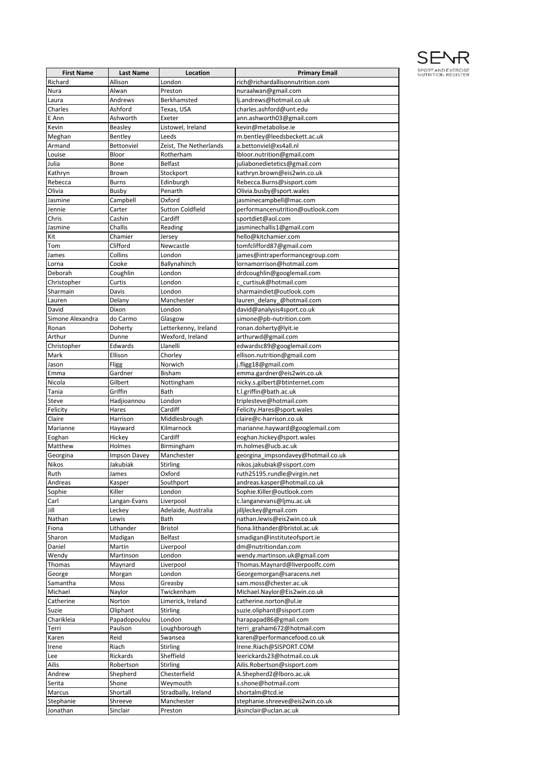

| <b>First Name</b>         | <b>Last Name</b>                | Location                        | <b>Primary Email</b>                                             |
|---------------------------|---------------------------------|---------------------------------|------------------------------------------------------------------|
| Richard                   | Allison                         | London                          | rich@richardallisonnutrition.com                                 |
| Nura                      | Alwan                           | Preston                         | nuraalwan@gmail.com                                              |
| Laura                     | Andrews                         | Berkhamsted                     | lj.andrews@hotmail.co.uk                                         |
| Charles                   | Ashford                         | Texas, USA                      | charles.ashford@unt.edu                                          |
| E Ann                     | Ashworth                        | Exeter                          | ann.ashworth03@gmail.com                                         |
| Kevin                     | <b>Beasley</b>                  | Listowel, Ireland               | kevin@metabolise.ie                                              |
| Meghan                    | Bentley                         | Leeds                           | m.bentley@leedsbeckett.ac.uk                                     |
| Armand                    | Bettonviel                      | Zeist, The Netherlands          | a.bettonviel@xs4all.nl                                           |
| Louise<br>Julia           | Bloor<br>Bone                   | Rotherham<br><b>Belfast</b>     | lbloor.nutrition@gmail.com<br>juliabonedietetics@gmail.com       |
| Kathryn                   | Brown                           | Stockport                       | kathryn.brown@eis2win.co.uk                                      |
| Rebecca                   | <b>Burns</b>                    | Edinburgh                       | Rebecca.Burns@sisport.com                                        |
| Olivia                    | Busby                           | Penarth                         | Olivia.busby@sport.wales                                         |
| Jasmine                   | Campbell                        | Oxford                          | jasminecampbell@mac.com                                          |
| Jennie                    | Carter                          | <b>Sutton Coldfield</b>         | performancenutrition@outlook.com                                 |
| Chris                     | Cashin                          | Cardiff                         | sportdiet@aol.com                                                |
| Jasmine                   | Challis                         | Reading                         | jasminechallis1@gmail.com                                        |
| Kit                       | Chamier                         | Jersey                          | hello@kitchamier.com                                             |
| Tom                       | Clifford                        | Newcastle                       | tomfclifford87@gmail.com                                         |
| James                     | Collins                         | London                          | james@intraperformancegroup.com                                  |
| Lorna                     | Cooke                           | Ballynahinch                    | lornamorrison@hotmail.com                                        |
| Deborah                   | Coughlin                        | London                          | drdcoughlin@googlemail.com                                       |
| Christopher               | Curtis                          | London                          | c curtisuk@hotmail.com                                           |
| Sharmain                  | Davis                           | London                          | sharmaindiet@outlook.com                                         |
| Lauren                    | Delany                          | Manchester                      | lauren_delany_@hotmail.com                                       |
| David<br>Simone Alexandra | Dixon<br>do Carmo               | London                          | david@analysis4sport.co.uk                                       |
| Ronan                     | Doherty                         | Glasgow<br>Letterkenny, Ireland | simone@pb-nutrition.com<br>ronan.doherty@lyit.ie                 |
| Arthur                    | Dunne                           | Wexford, Ireland                | arthurwd@gmail.com                                               |
| Christopher               | Edwards                         | Llanelli                        | edwardsc89@googlemail.com                                        |
| Mark                      | Ellison                         | Chorley                         | ellison.nutrition@gmail.com                                      |
| Jason                     | Fligg                           | Norwich                         | j.fligg18@gmail.com                                              |
| Emma                      | Gardner                         | <b>Bisham</b>                   | emma.gardner@eis2win.co.uk                                       |
| Nicola                    | Gilbert                         | Nottingham                      | nicky.s.gilbert@btinternet.com                                   |
| Tania                     | Griffin                         | Bath                            | t.l.griffin@bath.ac.uk                                           |
| Steve                     | Hadjioannou                     | London                          | triplesteve@hotmail.com                                          |
| Felicity                  | Hares                           | Cardiff                         | Felicity.Hares@sport.wales                                       |
| Claire                    | Harrison                        | Middlesbrough                   | claire@c-harrison.co.uk                                          |
| Marianne                  | Hayward                         | Kilmarnock                      | marianne.hayward@googlemail.com                                  |
| Eoghan                    | Hickey                          | Cardiff                         | eoghan.hickey@sport.wales                                        |
| Matthew                   | Holmes                          | Birmingham                      | m.holmes@ucb.ac.uk                                               |
| Georgina<br>Nikos         | <b>Impson Davey</b><br>Jakubiak | Manchester<br><b>Stirling</b>   | georgina impsondavey@hotmail.co.uk<br>nikos.jakubiak@sisport.com |
| Ruth                      | James                           | Oxford                          | ruth25195.rundle@virgin.net                                      |
| Andreas                   | Kasper                          | Southport                       | andreas.kasper@hotmail.co.uk                                     |
| Sophie                    | Killer                          | London                          | Sophie.Killer@outlook.com                                        |
| Carl                      | Langan-Evans                    | Liverpool                       | c.langanevans@ljmu.ac.uk                                         |
| Jill                      | Leckey                          | Adelaide, Australia             | jilljleckey@gmail.com                                            |
| Nathan                    | Lewis                           | Bath                            | nathan.lewis@eis2win.co.uk                                       |
| Fiona                     | Lithander                       | Bristol                         | fiona.lithander@bristol.ac.uk                                    |
| Sharon                    | Madigan                         | Belfast                         | smadigan@instituteofsport.ie                                     |
| Daniel                    | Martin                          | Liverpool                       | dm@nutritiondan.com                                              |
| Wendy                     | Martinson                       | London                          | wendy.martinson.uk@gmail.com                                     |
| Thomas                    | Maynard                         | Liverpool                       | Thomas.Maynard@liverpoolfc.com                                   |
| George                    | Morgan                          | London                          | Georgemorgan@saracens.net                                        |
| Samantha                  | Moss                            | Greasby                         | sam.moss@chester.ac.uk                                           |
| Michael                   | Naylor                          | Twickenham                      | Michael.Naylor@Eis2win.co.uk                                     |
| Catherine                 | Norton                          | Limerick, Ireland               | catherine.norton@ul.ie                                           |
| Suzie<br>Charikleia       | Oliphant<br>Papadopoulou        | Stirling<br>London              | suzie.oliphant@sisport.com<br>harapapad86@gmail.com              |
| Terri                     | Paulson                         | Loughborough                    | terri_graham672@hotmail.com                                      |
| Karen                     | Reid                            | Swansea                         | karen@performancefood.co.uk                                      |
| Irene                     | Riach                           | Stirling                        | Irene.Riach@SISPORT.COM                                          |
| Lee                       | Rickards                        | Sheffield                       | leerickards23@hotmail.co.uk                                      |
| Ailis                     | Robertson                       | Stirling                        | Ailis.Robertson@sisport.com                                      |
| Andrew                    | Shepherd                        | Chesterfield                    | A.Shepherd2@lboro.ac.uk                                          |
| Serita                    | Shone                           | Weymouth                        | s.shone@hotmail.com                                              |
| Marcus                    | Shortall                        | Stradbally, Ireland             | shortalm@tcd.ie                                                  |
| Stephanie                 | Shreeve                         | Manchester                      | stephanie.shreeve@eis2win.co.uk                                  |
| Jonathan                  | Sinclair                        | Preston                         | jksinclair@uclan.ac.uk                                           |